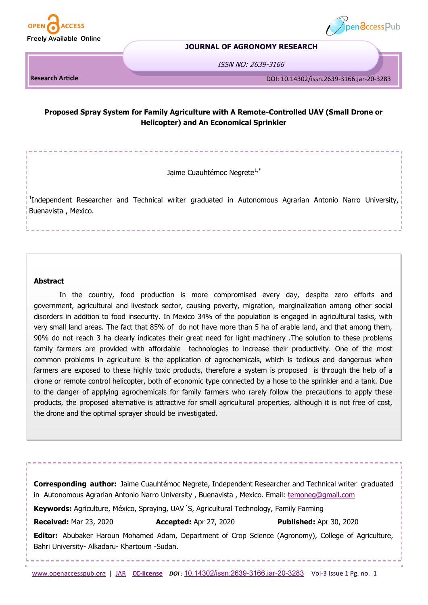



#### **JOURNAL OF AGRONOMY RESEARCH**

ISSN NO: 2639-3166

**DOI: 10.14302/issn.2474-7785.jarh-19-3015 Research Article** DOI: 10.14302/issn.2639-3166.jar-20-3283

# **Proposed Spray System for Family Agriculture with A Remote-Controlled UAV (Small Drone or Helicopter) and An Economical Sprinkler**

Jaime Cuauhtémoc Negrete<sup>1,\*</sup>

<sup>1</sup>Independent Researcher and Technical writer graduated in Autonomous Agrarian Antonio Narro University, Buenavista , Mexico.

# **Abstract**

In the country, food production is more compromised every day, despite zero efforts and government, agricultural and livestock sector, causing poverty, migration, marginalization among other social disorders in addition to food insecurity. In Mexico 34% of the population is engaged in agricultural tasks, with very small land areas. The fact that 85% of do not have more than 5 ha of arable land, and that among them, 90% do not reach 3 ha clearly indicates their great need for light machinery .The solution to these problems family farmers are provided with affordable technologies to increase their productivity. One of the most common problems in agriculture is the application of agrochemicals, which is tedious and dangerous when farmers are exposed to these highly toxic products, therefore a system is proposed is through the help of a drone or remote control helicopter, both of economic type connected by a hose to the sprinkler and a tank. Due to the danger of applying agrochemicals for family farmers who rarely follow the precautions to apply these products, the proposed alternative is attractive for small agricultural properties, although it is not free of cost, the drone and the optimal sprayer should be investigated.

**Corresponding author:** Jaime Cuauhtémoc Negrete, Independent Researcher and Technical writer graduated in Autonomous Agrarian Antonio Narro University , Buenavista , Mexico. Email: [temoneg@gmail.com](mailto:temoneg@gmail.com) **Keywords:** Agriculture, México, Spraying, UAV´S, Agricultural Technology, Family Farming

**Received:** Mar 23, 2020 **Accepted:** Apr 27, 2020 **Published:** Apr 30, 2020

**Editor:** Abubaker Haroun Mohamed Adam, Department of Crop Science (Agronomy), College of Agriculture, Bahri University- Alkadaru- Khartoum -Sudan.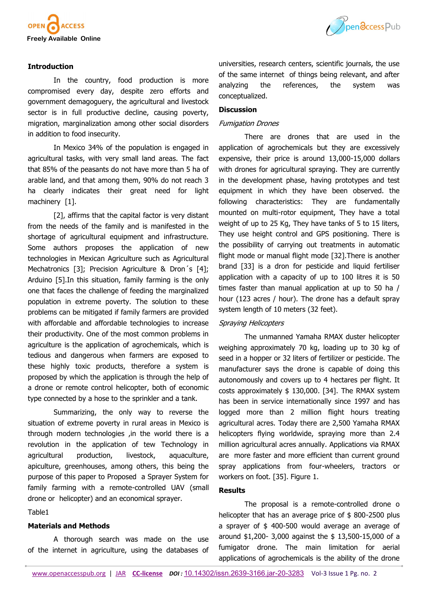



# **Introduction**

In the country, food production is more compromised every day, despite zero efforts and government demagoguery, the agricultural and livestock sector is in full productive decline, causing poverty, migration, marginalization among other social disorders in addition to food insecurity.

In Mexico 34% of the population is engaged in agricultural tasks, with very small land areas. The fact that 85% of the peasants do not have more than 5 ha of arable land, and that among them, 90% do not reach 3 ha clearly indicates their great need for light machinery [1].

[2], affirms that the capital factor is very distant from the needs of the family and is manifested in the shortage of agricultural equipment and infrastructure. Some authors proposes the application of new technologies in Mexican Agriculture such as Agricultural Mechatronics [3]; Precision Agriculture & Dron's [4]; Arduino [5].In this situation, family farming is the only one that faces the challenge of feeding the marginalized population in extreme poverty. The solution to these problems can be mitigated if family farmers are provided with affordable and affordable technologies to increase their productivity. One of the most common problems in agriculture is the application of agrochemicals, which is tedious and dangerous when farmers are exposed to these highly toxic products, therefore a system is proposed by which the application is through the help of a drone or remote control helicopter, both of economic type connected by a hose to the sprinkler and a tank.

Summarizing, the only way to reverse the situation of extreme poverty in rural areas in Mexico is through modern technologies ,in the world there is a revolution in the application of tew Technology in agricultural production, livestock, aquaculture, apiculture, greenhouses, among others, this being the purpose of this paper to Proposed a Sprayer System for family farming with a remote-controlled UAV (small drone or helicopter) and an economical sprayer.

Table1

# **Materials and Methods**

A thorough search was made on the use of the internet in agriculture, using the databases of universities, research centers, scientific journals, the use of the same internet of things being relevant, and after analyzing the references, the system was conceptualized.

# **Discussion**

#### Fumigation Drones

There are drones that are used in the application of agrochemicals but they are excessively expensive, their price is around 13,000-15,000 dollars with drones for agricultural spraying. They are currently in the development phase, having prototypes and test equipment in which they have been observed. the following characteristics: They are fundamentally mounted on multi-rotor equipment, They have a total weight of up to 25 Kg, They have tanks of 5 to 15 liters, They use height control and GPS positioning. There is the possibility of carrying out treatments in automatic flight mode or manual flight mode [32].There is another brand [33] is a dron for pesticide and liquid fertiliser application with a capacity of up to 100 litres it is 50 times faster than manual application at up to 50 ha / hour (123 acres / hour). The drone has a default spray system length of 10 meters (32 feet).

#### Spraying Helicopters

The unmanned Yamaha RMAX duster helicopter weighing approximately 70 kg, loading up to 30 kg of seed in a hopper or 32 liters of fertilizer or pesticide. The manufacturer says the drone is capable of doing this autonomously and covers up to 4 hectares per flight. It costs approximately \$ 130,000. [34]. The RMAX system has been in service internationally since 1997 and has logged more than 2 million flight hours treating agricultural acres. Today there are 2,500 Yamaha RMAX helicopters flying worldwide, spraying more than 2.4 million agricultural acres annually. Applications via RMAX are more faster and more efficient than current ground spray applications from four-wheelers, tractors or workers on foot. [35]. Figure 1.

# **Results**

The proposal is a remote-controlled drone o helicopter that has an average price of \$800-2500 plus a sprayer of \$ 400-500 would average an average of around \$1,200- 3,000 against the \$ 13,500-15,000 of a fumigator drone. The main limitation for aerial applications of agrochemicals is the ability of the drone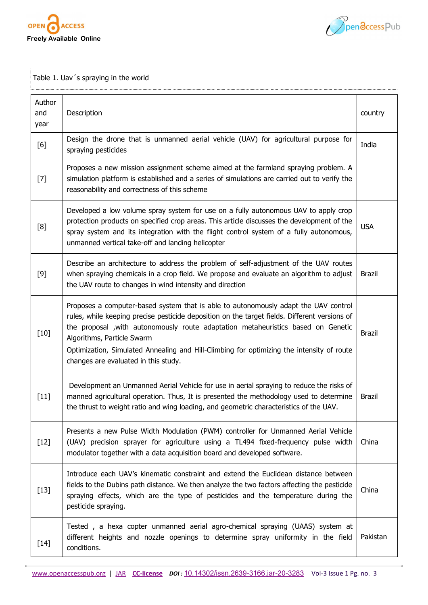



Table 1. Uav´s spraying in the world

| Author<br>and<br>year | Description                                                                                                                                                                                                                                                                                                                                                                                                                                  | country       |
|-----------------------|----------------------------------------------------------------------------------------------------------------------------------------------------------------------------------------------------------------------------------------------------------------------------------------------------------------------------------------------------------------------------------------------------------------------------------------------|---------------|
| [6]                   | Design the drone that is unmanned aerial vehicle (UAV) for agricultural purpose for<br>spraying pesticides                                                                                                                                                                                                                                                                                                                                   | India         |
| $[7]$                 | Proposes a new mission assignment scheme aimed at the farmland spraying problem. A<br>simulation platform is established and a series of simulations are carried out to verify the<br>reasonability and correctness of this scheme                                                                                                                                                                                                           |               |
| [8]                   | Developed a low volume spray system for use on a fully autonomous UAV to apply crop<br>protection products on specified crop areas. This article discusses the development of the<br>spray system and its integration with the flight control system of a fully autonomous,<br>unmanned vertical take-off and landing helicopter                                                                                                             | <b>USA</b>    |
| $[9]$                 | Describe an architecture to address the problem of self-adjustment of the UAV routes<br>when spraying chemicals in a crop field. We propose and evaluate an algorithm to adjust<br>the UAV route to changes in wind intensity and direction                                                                                                                                                                                                  | <b>Brazil</b> |
| $[10]$                | Proposes a computer-based system that is able to autonomously adapt the UAV control<br>rules, while keeping precise pesticide deposition on the target fields. Different versions of<br>the proposal , with autonomously route adaptation metaheuristics based on Genetic<br>Algorithms, Particle Swarm<br>Optimization, Simulated Annealing and Hill-Climbing for optimizing the intensity of route<br>changes are evaluated in this study. | <b>Brazil</b> |
| $[11]$                | Development an Unmanned Aerial Vehicle for use in aerial spraying to reduce the risks of<br>manned agricultural operation. Thus, It is presented the methodology used to determine<br>the thrust to weight ratio and wing loading, and geometric characteristics of the UAV.                                                                                                                                                                 | <b>Brazil</b> |
| $[12]$                | Presents a new Pulse Width Modulation (PWM) controller for Unmanned Aerial Vehicle<br>(UAV) precision sprayer for agriculture using a TL494 fixed-frequency pulse width<br>modulator together with a data acquisition board and developed software.                                                                                                                                                                                          | China         |
| $[13]$                | Introduce each UAV's kinematic constraint and extend the Euclidean distance between<br>fields to the Dubins path distance. We then analyze the two factors affecting the pesticide<br>spraying effects, which are the type of pesticides and the temperature during the<br>pesticide spraying.                                                                                                                                               | China         |
| $[14]$                | Tested, a hexa copter unmanned aerial agro-chemical spraying (UAAS) system at<br>different heights and nozzle openings to determine spray uniformity in the field<br>conditions.                                                                                                                                                                                                                                                             | Pakistan      |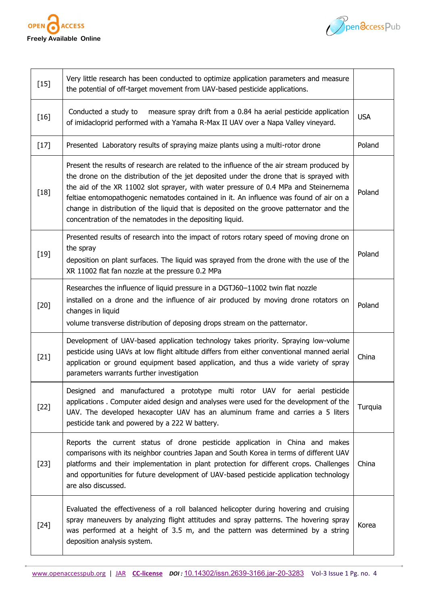



| $[15]$ | Very little research has been conducted to optimize application parameters and measure<br>the potential of off-target movement from UAV-based pesticide applications.                                                                                                                                                                                                                                                                                                                                                           |            |
|--------|---------------------------------------------------------------------------------------------------------------------------------------------------------------------------------------------------------------------------------------------------------------------------------------------------------------------------------------------------------------------------------------------------------------------------------------------------------------------------------------------------------------------------------|------------|
| $[16]$ | Conducted a study to<br>measure spray drift from a 0.84 ha aerial pesticide application<br>of imidacloprid performed with a Yamaha R-Max II UAV over a Napa Valley vineyard.                                                                                                                                                                                                                                                                                                                                                    | <b>USA</b> |
| $[17]$ | Presented Laboratory results of spraying maize plants using a multi-rotor drone                                                                                                                                                                                                                                                                                                                                                                                                                                                 | Poland     |
| $[18]$ | Present the results of research are related to the influence of the air stream produced by<br>the drone on the distribution of the jet deposited under the drone that is sprayed with<br>the aid of the XR 11002 slot sprayer, with water pressure of 0.4 MPa and Steinernema<br>feltiae entomopathogenic nematodes contained in it. An influence was found of air on a<br>change in distribution of the liquid that is deposited on the groove patternator and the<br>concentration of the nematodes in the depositing liquid. | Poland     |
| $[19]$ | Presented results of research into the impact of rotors rotary speed of moving drone on<br>the spray<br>deposition on plant surfaces. The liquid was sprayed from the drone with the use of the<br>XR 11002 flat fan nozzle at the pressure 0.2 MPa                                                                                                                                                                                                                                                                             | Poland     |
| $[20]$ | Researches the influence of liquid pressure in a DGTJ60-11002 twin flat nozzle<br>installed on a drone and the influence of air produced by moving drone rotators on<br>changes in liquid<br>volume transverse distribution of deposing drops stream on the patternator.                                                                                                                                                                                                                                                        | Poland     |
| $[21]$ | Development of UAV-based application technology takes priority. Spraying low-volume<br>pesticide using UAVs at low flight altitude differs from either conventional manned aerial<br>application or ground equipment based application, and thus a wide variety of spray<br>parameters warrants further investigation                                                                                                                                                                                                           | China      |
| $[22]$ | Designed and manufactured a prototype multi rotor UAV for aerial pesticide<br>applications. Computer aided design and analyses were used for the development of the<br>UAV. The developed hexacopter UAV has an aluminum frame and carries a 5 liters<br>pesticide tank and powered by a 222 W battery.                                                                                                                                                                                                                         | Turquia    |
| $[23]$ | Reports the current status of drone pesticide application in China and makes<br>comparisons with its neighbor countries Japan and South Korea in terms of different UAV<br>platforms and their implementation in plant protection for different crops. Challenges<br>and opportunities for future development of UAV-based pesticide application technology<br>are also discussed.                                                                                                                                              | China      |
| $[24]$ | Evaluated the effectiveness of a roll balanced helicopter during hovering and cruising<br>spray maneuvers by analyzing flight attitudes and spray patterns. The hovering spray<br>was performed at a height of 3.5 m, and the pattern was determined by a string<br>deposition analysis system.                                                                                                                                                                                                                                 | Korea      |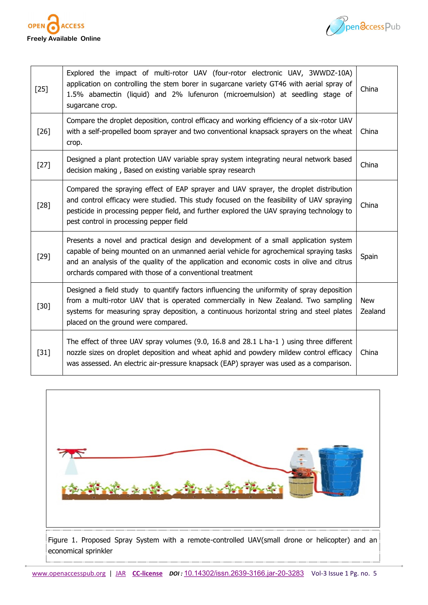



| $[25]$ | Explored the impact of multi-rotor UAV (four-rotor electronic UAV, 3WWDZ-10A)<br>application on controlling the stem borer in sugarcane variety GT46 with aerial spray of<br>1.5% abamectin (liquid) and 2% lufenuron (microemulsion) at seedling stage of<br>sugarcane crop.                                                         | China                 |
|--------|---------------------------------------------------------------------------------------------------------------------------------------------------------------------------------------------------------------------------------------------------------------------------------------------------------------------------------------|-----------------------|
| $[26]$ | Compare the droplet deposition, control efficacy and working efficiency of a six-rotor UAV<br>with a self-propelled boom sprayer and two conventional knapsack sprayers on the wheat<br>crop.                                                                                                                                         | China                 |
| $[27]$ | Designed a plant protection UAV variable spray system integrating neural network based<br>decision making, Based on existing variable spray research                                                                                                                                                                                  | China                 |
| $[28]$ | Compared the spraying effect of EAP sprayer and UAV sprayer, the droplet distribution<br>and control efficacy were studied. This study focused on the feasibility of UAV spraying<br>pesticide in processing pepper field, and further explored the UAV spraying technology to<br>pest control in processing pepper field             | China                 |
| $[29]$ | Presents a novel and practical design and development of a small application system<br>capable of being mounted on an unmanned aerial vehicle for agrochemical spraying tasks<br>and an analysis of the quality of the application and economic costs in olive and citrus<br>orchards compared with those of a conventional treatment | Spain                 |
| $[30]$ | Designed a field study to quantify factors influencing the uniformity of spray deposition<br>from a multi-rotor UAV that is operated commercially in New Zealand. Two sampling<br>systems for measuring spray deposition, a continuous horizontal string and steel plates<br>placed on the ground were compared.                      | <b>New</b><br>Zealand |
| $[31]$ | The effect of three UAV spray volumes (9.0, 16.8 and 28.1 L ha-1) using three different<br>nozzle sizes on droplet deposition and wheat aphid and powdery mildew control efficacy<br>was assessed. An electric air-pressure knapsack (EAP) sprayer was used as a comparison.                                                          | China                 |

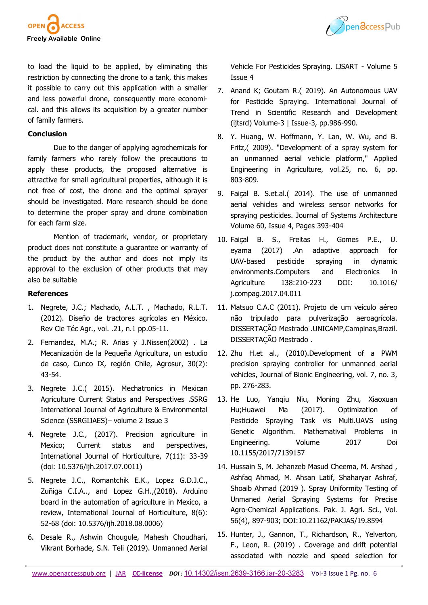



to load the liquid to be applied, by eliminating this restriction by connecting the drone to a tank, this makes it possible to carry out this application with a smaller and less powerful drone, consequently more economical. and this allows its acquisition by a greater number of family farmers.

# **Conclusion**

Due to the danger of applying agrochemicals for family farmers who rarely follow the precautions to apply these products, the proposed alternative is attractive for small agricultural properties, although it is not free of cost, the drone and the optimal sprayer should be investigated. More research should be done to determine the proper spray and drone combination for each farm size.

Mention of trademark, vendor, or proprietary product does not constitute a guarantee or warranty of the product by the author and does not imply its approval to the exclusion of other products that may also be suitable

# **References**

- 1. Negrete, J.C.; Machado, A.L.T. , Machado, R.L.T. (2012). Diseño de tractores agrícolas en México. Rev Cie Téc Agr., vol. .21, n.1 pp.05-11.
- 2. Fernandez, M.A.; R. Arias y J.Nissen(2002) . La Mecanización de la Pequeña Agricultura, un estudio de caso, Cunco IX, región Chile, Agrosur, 30(2): 43-54.
- 3. Negrete J.C.( 2015). Mechatronics in Mexican Agriculture Current Status and Perspectives .SSRG International Journal of Agriculture & Environmental Science (SSRGIJAES)– volume 2 Issue 3
- 4. Negrete J.C., (2017). Precision agriculture in Mexico; Current status and perspectives, International Journal of Horticulture, 7(11): 33-39 (doi: 10.5376/ijh.2017.07.0011)
- 5. Negrete J.C., Romantchik E.K., Lopez G.D.J.C., Zuñiga C.I.A.., and Lopez G.H.,(2018). Arduino board in the automation of agriculture in Mexico, a review, International Journal of Horticulture, 8(6): 52-68 (doi: 10.5376/ijh.2018.08.0006)
- 6. Desale R., Ashwin Chougule, Mahesh Choudhari, Vikrant Borhade, S.N. Teli (2019). Unmanned Aerial

Vehicle For Pesticides Spraying. IJSART - Volume 5 Issue 4

- 7. Anand K; Goutam R.( 2019). An Autonomous UAV for Pesticide Spraying. International Journal of Trend in Scientific Research and Development (ijtsrd) Volume-3 | Issue-3, pp.986-990.
- 8. Y. Huang, W. Hoffmann, Y. Lan, W. Wu, and B. Fritz,( 2009). "Development of a spray system for an unmanned aerial vehicle platform," Applied Engineering in Agriculture, vol.25, no. 6, pp. 803-809.
- 9. Faiçal B. S.et.al.( 2014). The use of unmanned aerial vehicles and wireless sensor networks for spraying pesticides. Journal of Systems Architecture Volume 60, Issue 4, Pages 393-404
- 10. Faiçal B. S., Freitas H., Gomes P.E., U. eyama (2017) .An adaptive approach for UAV-based pesticide spraying in dynamic environments.Computers and Electronics in Agriculture 138:210-223 DOI: 10.1016/ j.compag.2017.04.011
- 11. Matsuo C.A.C (2011). Projeto de um veículo aéreo não tripulado para pulverização aeroagrícola. DISSERTAÇÃO Mestrado .UNICAMP,Campinas,Brazil. DISSERTAÇÃO Mestrado .
- 12. Zhu H.et al., (2010).Development of a PWM precision spraying controller for unmanned aerial vehicles, Journal of Bionic Engineering, vol. 7, no. 3, pp. 276-283.
- 13. He Luo, Yanqiu Niu, Moning Zhu, Xiaoxuan Hu;Huawei Ma (2017). Optimization of Pesticide Spraying Task vis Multi.UAVS using Genetic Algorithm. Mathematival Problems in Engineering. Volume 2017 Doi 10.1155/2017/7139157
- 14. Hussain S, M. Jehanzeb Masud Cheema, M. Arshad , Ashfaq Ahmad, M. Ahsan Latif, Shaharyar Ashraf, Shoaib Ahmad (2019 ). Spray Uniformity Testing of Unmaned Aerial Spraying Systems for Precise Agro-Chemical Applications. Pak. J. Agri. Sci., Vol. 56(4), 897-903; DOI:10.21162/PAKJAS/19.8594
- 15. Hunter, J., Gannon, T., Richardson, R., Yelverton, F., Leon, R. (2019) . Coverage and drift potential associated with nozzle and speed selection for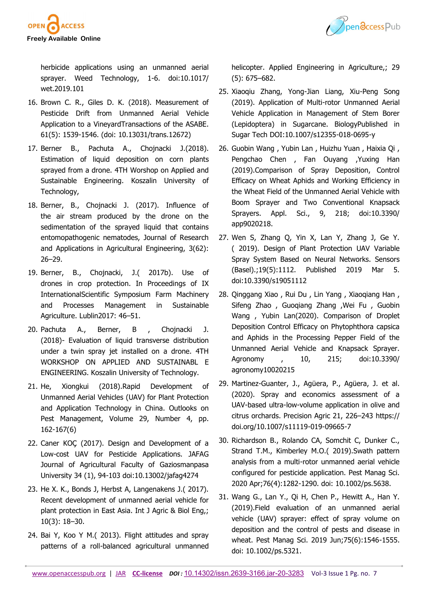



herbicide applications using an unmanned aerial sprayer. Weed Technology, 1-6. doi:10.1017/ wet.2019.101

- 16. Brown C. R., Giles D. K. (2018). Measurement of Pesticide Drift from Unmanned Aerial Vehicle Application to a VineyardTransactions of the ASABE. 61(5): 1539-1546. (doi: 10.13031/trans.12672)
- 17. Berner B., Pachuta A., Chojnacki J.(2018). Estimation of liquid deposition on corn plants sprayed from a drone. 4TH Worshop on Applied and Sustainable Engineering. Koszalin University of Technology,
- 18. Berner, B., Chojnacki J. (2017). Influence of the air stream produced by the drone on the sedimentation of the sprayed liquid that contains entomopathogenic nematodes, Journal of Research and Applications in Agricultural Engineering, 3(62): 26–29.
- 19. Berner, B., Chojnacki, J.( 2017b). Use of drones in crop protection. In Proceedings of IX InternationalScientific Symposium Farm Machinery and Processes Management in Sustainable Agriculture. Lublin2017: 46–51.
- 20. Pachuta A., Berner, B , Chojnacki J. (2018)- Evaluation of liquid transverse distribution under a twin spray jet installed on a drone. 4TH WORKSHOP ON APPLIED AND SUSTAINABL E ENGINEERING. Koszalin University of Technology.
- 21. He, Xiongkui (2018).Rapid Development of Unmanned Aerial Vehicles (UAV) for Plant Protection and Application Technology in China. Outlooks on Pest Management, Volume 29, Number 4, pp. 162-167(6)
- 22. Caner KOÇ (2017). Design and Development of a Low-cost UAV for Pesticide Applications. JAFAG Journal of Agricultural Faculty of Gaziosmanpasa University 34 (1), 94-103 doi:10.13002/jafag4274
- 23. He X. K., Bonds J, Herbst A, Langenakens J.( 2017). Recent development of unmanned aerial vehicle for plant protection in East Asia. Int J Agric & Biol Eng,; 10(3): 18–30.
- 24. Bai Y, Koo Y M.( 2013). Flight attitudes and spray patterns of a roll-balanced agricultural unmanned

helicopter. Applied Engineering in Agriculture,; 29 (5): 675–682.

- 25. Xiaoqiu Zhang, Yong-Jian Liang, Xiu-Peng Song (2019). Application of Multi-rotor Unmanned Aerial Vehicle Application in Management of Stem Borer (Lepidoptera) in Sugarcane. BiologyPublished in Sugar Tech DOI:10.1007/s12355-018-0695-y
- 26. Guobin Wang , Yubin Lan , Huizhu Yuan , Haixia Qi , Pengchao Chen , Fan Ouyang , Yuxing Han (2019).Comparison of Spray Deposition, Control Efficacy on Wheat Aphids and Working Efficiency in the Wheat Field of the Unmanned Aerial Vehicle with Boom Sprayer and Two Conventional Knapsack Sprayers. Appl. Sci., 9, 218; doi:10.3390/ app9020218.
- 27. Wen S, Zhang Q, Yin X, Lan Y, Zhang J, Ge Y. ( 2019). Design of Plant Protection UAV Variable Spray System Based on Neural Networks. Sensors (Basel).;19(5):1112. Published 2019 Mar 5. doi:10.3390/s19051112
- 28. Qinggang Xiao , Rui Du , Lin Yang , Xiaoqiang Han , Sifeng Zhao , Guoqiang Zhang ,Wei Fu , Guobin Wang , Yubin Lan(2020). Comparison of Droplet Deposition Control Efficacy on Phytophthora capsica and Aphids in the Processing Pepper Field of the Unmanned Aerial Vehicle and Knapsack Sprayer. Agronomy , 10, 215; doi:10.3390/ agronomy10020215
- 29. Martinez-Guanter, J., Agüera, P., Agüera, J. et al. (2020). Spray and economics assessment of a UAV-based ultra-low-volume application in olive and citrus orchards. Precision Agric 21, 226–243 https:// doi.org/10.1007/s11119-019-09665-7
- 30. Richardson B., Rolando CA, Somchit C, Dunker C., Strand T.M., Kimberley M.O.( 2019).Swath pattern analysis from a multi-rotor unmanned aerial vehicle configured for pesticide application. Pest Manag Sci. 2020 Apr;76(4):1282-1290. doi: 10.1002/ps.5638.
- 31. Wang G., Lan Y., Qi H, Chen P., Hewitt A., Han Y. (2019).Field evaluation of an unmanned aerial vehicle (UAV) sprayer: effect of spray volume on deposition and the control of pests and disease in wheat. Pest Manag Sci. 2019 Jun;75(6):1546-1555. doi: 10.1002/ps.5321.